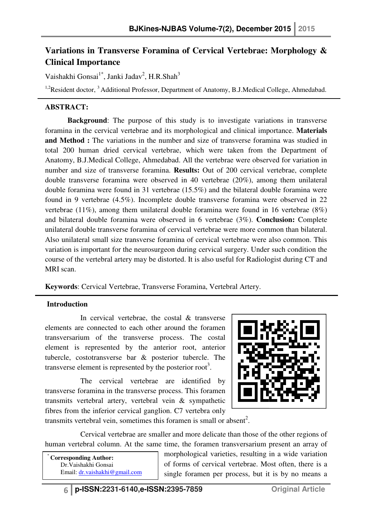# **Variations in Transverse Foramina of Cervical Vertebrae: Morphology & Clinical Importance**

Vaishakhi Gonsai<sup>1\*</sup>, Janki Jadav<sup>2</sup>, H.R.Shah<sup>3</sup>

<sup>1,2</sup>Resident doctor, <sup>3</sup> Additional Professor, Department of Anatomy, B.J.Medical College, Ahmedabad.

## **ABSTRACT:**

 **Background**: The purpose of this study is to investigate variations in transverse foramina in the cervical vertebrae and its morphological and clinical importance. **Materials**  and Method : The variations in the number and size of transverse foramina was studied in total 200 human dried cervical vertebrae, which were taken from the Department of Anatomy, B.J.Medical College, Ahmedabad. All the vertebrae were observed for variation in number and size of transverse foramina. **Results:** Out of 200 cervical vertebrae, complete double transverse foramina were observed in 40 vertebrae (20%), among them unilateral double foramina were found in 31 vertebrae (15.5%) and the bilateral double foramina were found in 9 vertebrae (4.5%). Incomplete double transverse foramina were observed in 22 vertebrae (11%), among them unilateral double foramina were found in 16 vertebrae (8%) and bilateral double foramina were observed in 6 vertebrae (3%). **Conclusion:**  Complete unilateral double transverse foramina of cervical vertebrae were more common than bilateral. Also unilateral small size transverse foramina of cervical vertebrae were also common. This variation is important for the neurosurgeon during cervical surgery. Under such condition the course of the vertebral artery may be distorted. It is also useful for Radiologist during CT and MRI scan. **SIBAS Volume-7(2), December 2015**  $\left[\frac{2015}{2015}\right]$ <br>
Shah<sup>3</sup><br>
Shah<sup>3</sup><br>
Shah<sup>3</sup><br>
Shah<sup>3</sup><br>
Shah<sup>3</sup><br>
Shah<sup>3</sup><br>
Shah<sup>3</sup><br>
Shah<sup>3</sup><br>
Shah<sup>3</sup><br>
Shah<sup>3</sup><br>
Shah<sup>3</sup><br>
Shah<sup>3</sup><br>
Shah<sup>3</sup><br>
Shah<sup>3</sup><br>
Shah<sup>3</sup><br>
Shah<sup>3</sup><br>
Shah<sup>3</sup><br>
Shah<sup>3</sup><br>
Sha

**Keywords**: Cervical Vertebrae, Transverse Foramina, Vertebral Artery.

# **Introduction**

In cervical vertebrae, the costal & transverse elements are connected to each other around the foramen transversarium of the transverse process. The costal element is represented by the anterior root, anterior tubercle, costotransverse bar & posterior tubercle. The transverse element is represented by the posterior root<sup>3</sup>. orted. It is also useful for<br>
se Foramina, Vertebral<br>
seses Foramina, Vertebral<br>
ostal & transverse<br>
round the foramen<br>
rosts. The costal<br>
ior root, anterior<br>
ior tubercle. The<br>
posterior root<sup>3</sup>.<br>
re identified by<br>
ress.

The cervical vertebrae are identified by transverse foramina in the transverse process. This foramen transmits vertebral artery, vertebral vein & sympathetic fibres from the inferior cervical ganglion. C7 vertebra only



transmits vertebral vein, sometimes this foramen is small or absent<sup>2</sup>.

Cervical vertebrae are smaller and more delicate than those of the other regions of human vertebral column. At the same time, the foramen transversarium present an array of

**Corresponding Author:** Dr.Vaishakhi Gonsai Email: dr.vaishakhi@gmail.com morphological varieties, resulting in a wide variation of forms of cervical vertebrae. Most often, there is a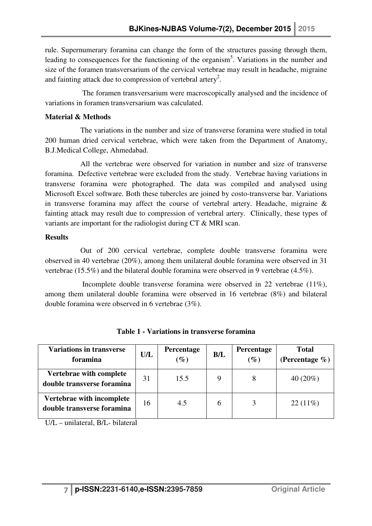rule. Supernumerary foramina can change the form of the structures passing through them, leading to consequences for the functioning of the organism<sup>5</sup>. Variations in the number and size of the foramen transversarium of the cervical vertebrae may result in headache, migraine and fainting attack due to compression of vertebral artery<sup>2</sup>.

 The foramen transversarium were macroscopically analysed and the incidence of variations in foramen transversarium was calculated.

#### **Material & Methods**

The variations in the number and size of transverse foramina were studied in total 200 human dried cervical vertebrae, which were taken from the Department of Anatomy, B.J.Medical College, Ahmedabad.

All the vertebrae were observed for variation in number and size of transverse foramina. Defective vertebrae were excluded from the study. Vertebrae having variations in transverse foramina were photographed. The data was compiled and analysed using Microsoft Excel software. Both these tubercles are joined by costo-transverse bar. Variations in transverse foramina may affect the course of vertebral artery. Headache, migraine & fainting attack may result due to compression of vertebral artery. Clinically, these types of variants are important for the radiologist during CT & MRI scan.

#### **Results**

Out of 200 cervical vertebrae, complete double transverse foramina were observed in 40 vertebrae (20%), among them unilateral double foramina were observed in 31 vertebrae (15.5%) and the bilateral double foramina were observed in 9 vertebrae (4.5%).

 Incomplete double transverse foramina were observed in 22 vertebrae (11%), among them unilateral double foramina were observed in 16 vertebrae (8%) and bilateral double foramina were observed in 6 vertebrae (3%).

| <b>Variations in transverse</b><br>foramina             | U/L | Percentage<br>$(\%)$ | B/L | <b>Percentage</b><br>$\mathscr{G}_o$ | <b>Total</b><br>(Percentage $%$ ) |
|---------------------------------------------------------|-----|----------------------|-----|--------------------------------------|-----------------------------------|
| Vertebrae with complete<br>double transverse foramina   | 31  | 15.5                 | 9   | 8                                    | $40(20\%)$                        |
| Vertebrae with incomplete<br>double transverse foramina | 16  | 4.5                  | 6   |                                      | $22(11\%)$                        |

**Table 1 - Variations in transverse foramina**

U/L – unilateral, B/L- bilateral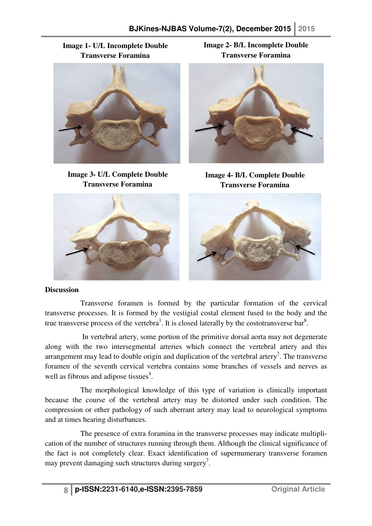## **Image 1- U/L Incomplete Double Transverse Foramina**



**Image 3- U/L Complete Double Transverse Foramina**

**Image 2- B/L Incomplete Double Transverse Foramina** 



**Image 4- B/L Complete Double Transverse Foramina**



#### **Discussion**

Transverse foramen is formed by the particular formation of the cervical transverse processes. It is formed by the vestigial costal element fused to the body and the true transverse process of the vertebra<sup>1</sup>. It is closed laterally by the costotransverse bar<sup>8</sup>.

 In vertebral artery, some portion of the primitive dorsal aorta may not degenerate along with the two intersegmental arteries which connect the vertebral artery and this arrangement may lead to double origin and duplication of the vertebral artery<sup>7</sup>. The transverse foramen of the seventh cervical vertebra contains some branches of vessels and nerves as well as fibrous and adipose tissues $4$ .

The morphological knowledge of this type of variation is clinically important because the course of the vertebral artery may be distorted under such condition. The compression or other pathology of such aberrant artery may lead to neurological symptoms and at times hearing disturbances.

The presence of extra foramina in the transverse processes may indicate multiplication of the number of structures running through them. Although the clinical significance of the fact is not completely clear. Exact identification of supernumerary transverse foramen may prevent damaging such structures during surgery<sup>7</sup>.